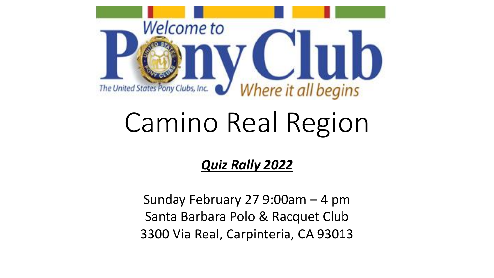

# Camino Real Region

### *Quiz Rally 2022*

Sunday February 27 9:00am – 4 pm Santa Barbara Polo & Racquet Club 3300 Via Real, Carpinteria, CA 93013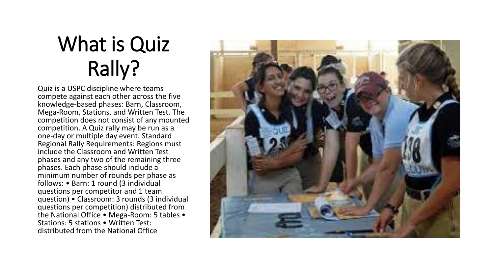# What is Quiz Rally?

Quiz is a USPC discipline where teams compete against each other across the five knowledge-based phases: Barn, Classroom, Mega-Room, Stations, and Written Test. The competition does not consist of any mounted competition. A Quiz rally may be run as a one-day or multiple day event. Standard Regional Rally Requirements: Regions must include the Classroom and Written Test phases and any two of the remaining three phases. Each phase should include a minimum number of rounds per phase as follows: • Barn: 1 round (3 individual questions per competitor and 1 team question) • Classroom: 3 rounds (3 individual questions per competition) distributed from the National Office • Mega-Room: 5 tables • Stations: 5 stations • Written Test: distributed from the National Office

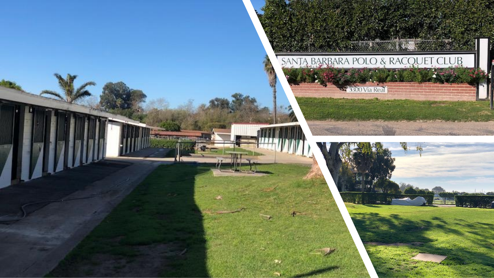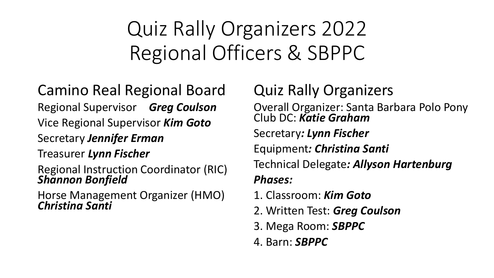Quiz Rally Organizers 2022 Regional Officers & SBPPC

## Camino Real Regional Board

Regional Supervisor *Greg Coulson*  Vice Regional Supervisor *Kim Goto*

Secretary *Jennifer Erman*

Treasurer *Lynn Fischer*

Regional Instruction Coordinator (RIC) *Shannon Bonfield*

Horse Management Organizer (HMO) *Christina Santi*

## Quiz Rally Organizers

Overall Organizer: Santa Barbara Polo Pony Club DC: *Katie Graham* 

Secretary*: Lynn Fischer*

Equipment*: Christina Santi*

Technical Delegate*: Allyson Hartenburg*

### *Phases:*

- 1. Classroom: *Kim Goto*
- 2. Written Test: *Greg Coulson*
- 3. Mega Room: *SBPPC*
- 4. Barn: *SBPPC*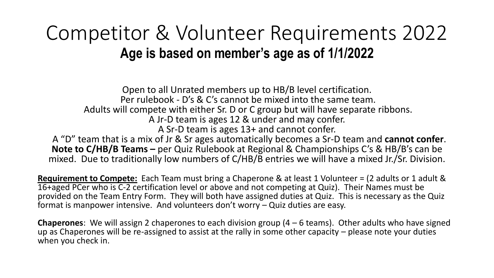## Competitor & Volunteer Requirements 2022 **Age is based on member's age as of 1/1/2022**

Open to all Unrated members up to HB/B level certification. Per rulebook - D's & C's cannot be mixed into the same team. Adults will compete with either Sr. D or C group but will have separate ribbons. A Jr-D team is ages 12 & under and may confer. A Sr-D team is ages 13+ and cannot confer. A "D" team that is a mix of Jr & Sr ages automatically becomes a Sr-D team and **cannot confer**. **Note to C/HB/B Teams –** per Quiz Rulebook at Regional & Championships C's & HB/B's can be mixed. Due to traditionally low numbers of C/HB/B entries we will have a mixed Jr./Sr. Division.

**Requirement to Compete:** Each Team must bring a Chaperone & at least 1 Volunteer = (2 adults or 1 adult & 16+aged PCer who is C-2 certification level or above and not competing at Quiz). Their Names must be provided on the Team Entry Form. They will both have assigned duties at Quiz. This is necessary as the Quiz format is manpower intensive. And volunteers don't worry – Quiz duties are easy.

**Chaperones**: We will assign 2 chaperones to each division group (4 – 6 teams). Other adults who have signed up as Chaperones will be re-assigned to assist at the rally in some other capacity – please note your duties when you check in.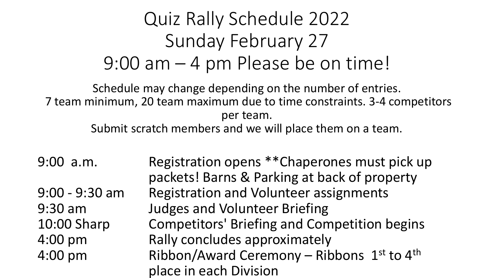# Quiz Rally Schedule 2022 Sunday February 27 9:00 am – 4 pm Please be on time!

Schedule may change depending on the number of entries. 7 team minimum, 20 team maximum due to time constraints. 3-4 competitors per team.

Submit scratch members and we will place them on a team.

9:00 a.m. Registration opens \*\*Chaperones must pick up packets! Barns & Parking at back of property 9:00 - 9:30 am Registration and Volunteer assignments 9:30 am Judges and Volunteer Briefing 10:00 Sharp Competitors' Briefing and Competition begins 4:00 pm Rally concludes approximately 4:00 pm Ribbon/Award Ceremony – Ribbons  $1<sup>st</sup>$  to  $4<sup>th</sup>$ place in each Division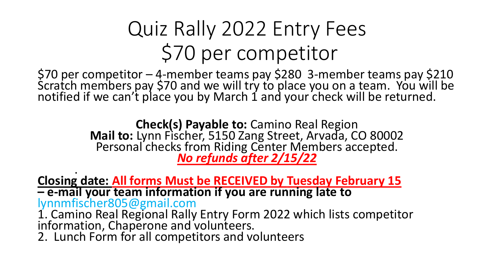# Quiz Rally 2022 Entry Fees \$70 per competitor

\$70 per competitor – 4-member teams pay \$280 3-member teams pay \$210 Scratch members pay \$70 and we will try to place you on a team. You will be notified if we can't place you by March 1 and your check will be returned.

> **Check(s) Payable to:** Camino Real Region **Mail to:** Lynn Fischer, 5150 Zang Street, Arvada, CO 80002 Personal checks from Riding Center Members accepted. *No refunds after 2/15/22*

. **Closing date: All forms Must be RECEIVED by Tuesday February 15 – e-mail your team information if you are running late to**  lynnmfischer805@gmail.com

- 1. Camino Real Regional Rally Entry Form 2022 which lists competitor information, Chaperone and volunteers.
- 2. Lunch Form for all competitors and volunteers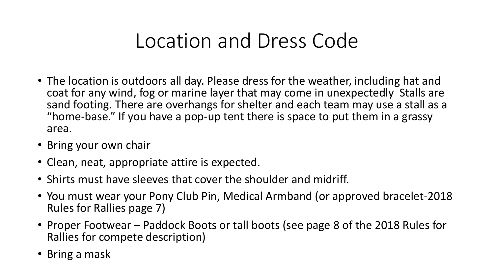# Location and Dress Code

- The location is outdoors all day. Please dress for the weather, including hat and coat for any wind, fog or marine layer that may come in unexpectedly Stalls are sand footing. There are overhangs for shelter and each team may use a stall as a "home-base." If you have a pop-up tent there is space to put them in a grassy area.
- Bring your own chair
- Clean, neat, appropriate attire is expected.
- Shirts must have sleeves that cover the shoulder and midriff.
- You must wear your Pony Club Pin, Medical Armband (or approved bracelet-2018 Rules for Rallies page 7)
- Proper Footwear Paddock Boots or tall boots (see page 8 of the 2018 Rules for Rallies for compete description)
- Bring a mask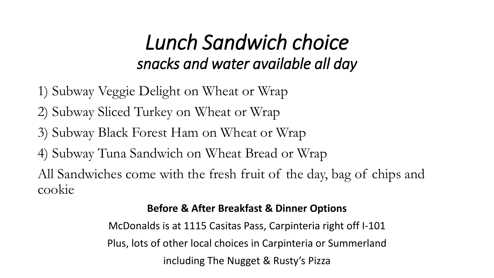# *Lunch Sandwich choice snacks and water available all day*

- 1) Subway Veggie Delight on Wheat or Wrap
- 2) Subway Sliced Turkey on Wheat or Wrap
- 3) Subway Black Forest Ham on Wheat or Wrap
- 4) Subway Tuna Sandwich on Wheat Bread or Wrap

All Sandwiches come with the fresh fruit of the day, bag of chips and cookie

### **Before & After Breakfast & Dinner Options**

McDonalds is at 1115 Casitas Pass, Carpinteria right off I-101 Plus, lots of other local choices in Carpinteria or Summerland including The Nugget & Rusty's Pizza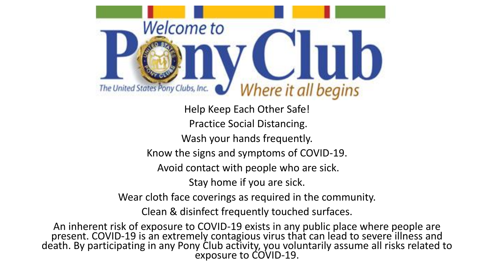

Help Keep Each Other Safe! Practice Social Distancing. Wash your hands frequently. Know the signs and symptoms of COVID-19. Avoid contact with people who are sick. Stay home if you are sick. Wear cloth face coverings as required in the community.

Clean & disinfect frequently touched surfaces.

An inherent risk of exposure to COVID-19 exists in any public place where people are present. COVID-19 is an extremely contagious virus that can lead to severe illness and death. By participating in any Pony Club activity, you voluntarily assume all risks related to exposure to COVID-19.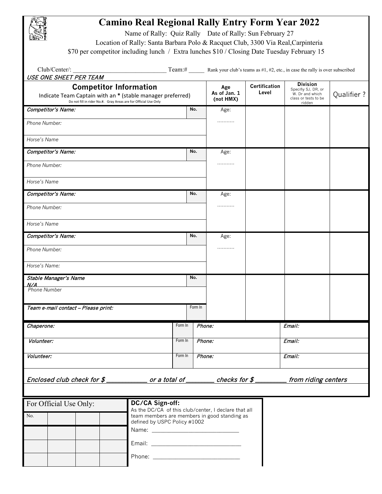

#### **Camino Real Regional Rally Entry Form Year 2022**

Name of Rally: Quiz Rally Date of Rally: Sun February 27 Location of Rally: Santa Barbara Polo & Racquet Club, 3300 Via Real,Carpinteria \$70 per competitor including lunch / Extra lunches \$10 / Closing Date Tuesday February 15

| Club/Center/:                                                                                                                                                                            |                                                                                                                                                         | Team:#  |         |                                  |                               | Rank your club's teams as $#1, #2$ , etc., in case the rally is over subscribed             |             |
|------------------------------------------------------------------------------------------------------------------------------------------------------------------------------------------|---------------------------------------------------------------------------------------------------------------------------------------------------------|---------|---------|----------------------------------|-------------------------------|---------------------------------------------------------------------------------------------|-------------|
| USE ONE SHEET PER TEAM<br><b>Competitor Information</b><br>Indicate Team Captain with an * (stable manager preferred)<br>Do not fill in rider No.#. Gray Areas are for Official Use Only |                                                                                                                                                         |         |         | Age<br>As of Jan. 1<br>(not HMX) | <b>Certification</b><br>Level | <b>Division</b><br>Specifiy SJ, DR, or<br>W. Dr and which<br>class or tests to be<br>ridden | Qualifier ? |
| Competitor's Name:                                                                                                                                                                       |                                                                                                                                                         |         | No.     | Age:                             |                               |                                                                                             |             |
| Phone Number:                                                                                                                                                                            |                                                                                                                                                         |         |         | .                                |                               |                                                                                             |             |
| Horse's Name                                                                                                                                                                             |                                                                                                                                                         |         |         |                                  |                               |                                                                                             |             |
| Competitor's Name:                                                                                                                                                                       |                                                                                                                                                         |         | No.     | Age:                             |                               |                                                                                             |             |
| Phone Number:                                                                                                                                                                            |                                                                                                                                                         |         |         |                                  |                               |                                                                                             |             |
| Horse's Name                                                                                                                                                                             |                                                                                                                                                         |         |         |                                  |                               |                                                                                             |             |
| Competitor's Name:                                                                                                                                                                       |                                                                                                                                                         |         | No.     | Age:                             |                               |                                                                                             |             |
| Phone Number:                                                                                                                                                                            |                                                                                                                                                         |         |         |                                  |                               |                                                                                             |             |
| Horse's Name                                                                                                                                                                             |                                                                                                                                                         |         |         |                                  |                               |                                                                                             |             |
| Competitor's Name:                                                                                                                                                                       |                                                                                                                                                         |         | No.     | Age:                             |                               |                                                                                             |             |
| Phone Number:                                                                                                                                                                            |                                                                                                                                                         |         |         | .                                |                               |                                                                                             |             |
| Horse's Name:                                                                                                                                                                            |                                                                                                                                                         |         |         |                                  |                               |                                                                                             |             |
| Stable Manager's Name<br>N/A                                                                                                                                                             |                                                                                                                                                         |         | No.     |                                  |                               |                                                                                             |             |
| Phone Number                                                                                                                                                                             |                                                                                                                                                         |         |         |                                  |                               |                                                                                             |             |
| Team e-mail contact - Please print:                                                                                                                                                      |                                                                                                                                                         |         | Form In |                                  |                               |                                                                                             |             |
| Chaperone:                                                                                                                                                                               |                                                                                                                                                         | Form In | Phone:  |                                  |                               | Email:                                                                                      |             |
| Volunteer:                                                                                                                                                                               |                                                                                                                                                         | Form In |         | Phone:                           |                               | Email:                                                                                      |             |
| Volunteer:                                                                                                                                                                               |                                                                                                                                                         | Form In | Phone:  |                                  |                               | Email:                                                                                      |             |
| Enclosed club check for $\oint$                                                                                                                                                          | or a total of _                                                                                                                                         |         |         | checks for $$$                   |                               | from riding centers                                                                         |             |
|                                                                                                                                                                                          |                                                                                                                                                         |         |         |                                  |                               |                                                                                             |             |
| For Official Use Only:<br>No.                                                                                                                                                            | DC/CA Sign-off:<br>As the DC/CA of this club/center, I declare that all<br>team members are members in good standing as<br>defined by USPC Policy #1002 |         |         |                                  |                               |                                                                                             |             |
|                                                                                                                                                                                          |                                                                                                                                                         |         |         |                                  |                               |                                                                                             |             |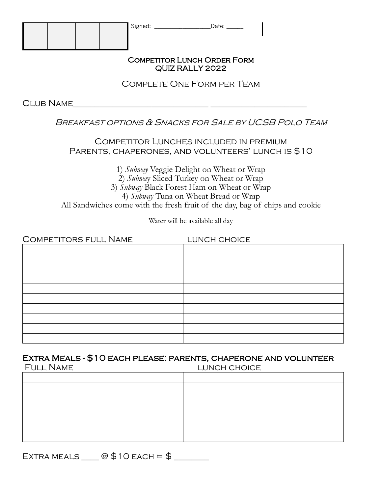|  | Signed: | Date: |  |
|--|---------|-------|--|
|  |         |       |  |

#### Competitor Lunch Order Form QUIZ RALLY 2022

#### Complete One Form per Team

Club Name\_\_\_\_\_\_\_\_\_\_\_\_\_\_\_\_\_\_\_\_\_\_\_\_\_\_\_\_\_\_\_ \_\_\_\_\_\_\_\_\_\_\_\_\_\_\_\_\_\_\_\_\_\_

#### Breakfast options & Snacks for Sale by UCSB Polo Team

#### Competitor Lunches included in premium Parents, chaperones, and volunteers' lunch is \$10

1) *Subway* Veggie Delight on Wheat or Wrap 2) *Subwa*y Sliced Turkey on Wheat or Wrap 3) *Subway* Black Forest Ham on Wheat or Wrap 4) *Subway* Tuna on Wheat Bread or Wrap All Sandwiches come with the fresh fruit of the day, bag of chips and cookie

Water will be available all day

| <b>COMPETITORS FULL NAME</b> | LUNCH CHOICE |
|------------------------------|--------------|
|                              |              |
|                              |              |
|                              |              |
|                              |              |
|                              |              |
|                              |              |
|                              |              |
|                              |              |
|                              |              |
|                              |              |

#### Extra Meals - \$10 each please: parents, chaperone and volunteer

| <b>FULL NAME</b> | LUNCH CHOICE |
|------------------|--------------|
|                  |              |
|                  |              |
|                  |              |
|                  |              |
|                  |              |
|                  |              |
|                  |              |

EXTRA MEALS  $\_\_\_\_\_\$   $\circ$  \$10 each = \$  $\_\_\_\_\_\_\_\_\_\_\_\$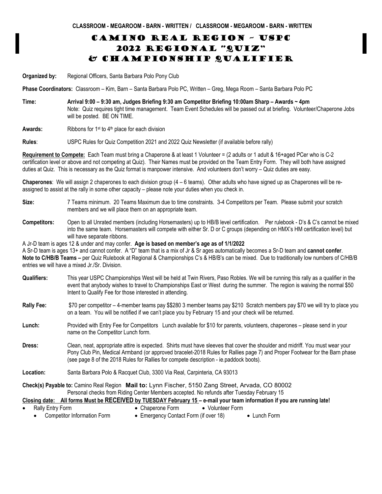**CLASSROOM - MEGAROOM - BARN - WRITTEN / CLASSROOM - MEGAROOM - BARN - WRITTEN**

#### CAMINO REAL REGION – USPC 2022 REGIONAL "QUIZ" & Championship QUALIFIER

**Organized by:** Regional Officers, Santa Barbara Polo Pony Club

**Phase Coordinators:** Classroom – Kim, Barn – Santa Barbara Polo PC, Written – Greg, Mega Room – Santa Barbara Polo PC

**Time: Arrival 9:00 – 9:30 am, Judges Briefing 9:30 am Competitor Briefing 10:00am Sharp – Awards ~ 4pm** Note: Quiz requires tight time management. Team Event Schedules will be passed out at briefing. Volunteer/Chaperone Jobs will be posted. BE ON TIME.

**Awards:** Ribbons for 1<sup>st</sup> to 4<sup>th</sup> place for each division

**Rules**: USPC Rules for Quiz Competition 2021 and 2022 Quiz Newsletter (if available before rally)

**Requirement to Compete:** Each Team must bring a Chaperone & at least 1 Volunteer = (2 adults or 1 adult & 16+aged PCer who is C-2 certification level or above and not competing at Quiz). Their Names must be provided on the Team Entry Form. They will both have assigned duties at Quiz. This is necessary as the Quiz format is manpower intensive. And volunteers don't worry – Quiz duties are easy.

**Chaperones**: We will assign 2 chaperones to each division group (4 – 6 teams). Other adults who have signed up as Chaperones will be reassigned to assist at the rally in some other capacity – please note your duties when you check in.

- **Size:** 7 Teams minimum. 20 Teams Maximum due to time constraints. 3-4 Competitors per Team. Please submit your scratch members and we will place them on an appropriate team.
- **Competitors:** Open to all Unrated members (including Horsemasters) up to HB/B level certification. Per rulebook D's & C's cannot be mixed into the same team. Horsemasters will compete with either Sr. D or C groups (depending on HMX's HM certification level) but will have separate ribbons.

A Jr-D team is ages 12 & under and may confer. **Age is based on member's age as of 1/1/2022**

A Sr-D team is ages 13+ and cannot confer. A "D" team that is a mix of Jr & Sr ages automatically becomes a Sr-D team and **cannot confer**. **Note to C/HB/B Teams –** per Quiz Rulebook at Regional & Championships C's & HB/B's can be mixed. Due to traditionally low numbers of C/HB/B entries we will have a mixed Jr./Sr. Division.

- **Qualifiers:** This year USPC Championships West will be held at Twin Rivers, Paso Robles. We will be running this rally as a qualifier in the event that anybody wishes to travel to Championships East or West during the summer. The region is waiving the normal \$50 Intent to Qualify Fee for those interested in attending.
- **Rally Fee:** \$70 per competitor 4-member teams pay \$\$280 3 member teams pay \$210 Scratch members pay \$70 we will try to place you on a team. You will be notified if we can't place you by February 15 and your check will be returned.
- **Lunch:** Provided with Entry Fee for Competitors Lunch available for \$10 for parents, volunteers, chaperones please send in your name on the Competitor Lunch form.
- **Dress:** Clean, neat, appropriate attire is expected. Shirts must have sleeves that cover the shoulder and midriff. You must wear your Pony Club Pin, Medical Armband (or approved bracelet-2018 Rules for Rallies page 7) and Proper Footwear for the Barn phase (see page 8 of the 2018 Rules for Rallies for compete description - ie.paddock boots).
- **Location:** Santa Barbara Polo & Racquet Club, 3300 Via Real, Carpinteria, CA 93013

**Check(s) Payable to:** Camino Real Region **Mail to:** Lynn Fischer, 5150 Zang Street, Arvada, CO 80002 Personal checks from Riding Center Members accepted. No refunds after Tuesday February 15

- **Closing date: All forms Must be RECEIVED by TUESDAY February 15 e-mail your team information if you are running late!**
- 
- **Property Form Chaperone Form Volunteer Form** 
	-
	- Competitor Information Form Emergency Contact Form (if over 18) Lunch Form
		-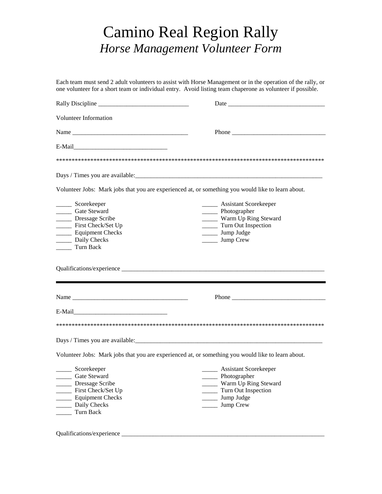### Camino Real Region Rally *Horse Management Volunteer Form*

Each team must send 2 adult volunteers to assist with Horse Management or in the operation of the rally, or one volunteer for a short team or individual entry. Avoid listing team chaperone as volunteer if possible.

| <b>Volunteer Information</b>                                                                                                                               |                                                                                                                                                    |
|------------------------------------------------------------------------------------------------------------------------------------------------------------|----------------------------------------------------------------------------------------------------------------------------------------------------|
|                                                                                                                                                            |                                                                                                                                                    |
|                                                                                                                                                            |                                                                                                                                                    |
|                                                                                                                                                            |                                                                                                                                                    |
|                                                                                                                                                            |                                                                                                                                                    |
|                                                                                                                                                            | Volunteer Jobs: Mark jobs that you are experienced at, or something you would like to learn about.                                                 |
| ______ Scorekeeper<br>_______ Gate Steward<br>_______ Dressage Scribe<br>______ First Check/Set Up<br><b>Equipment Checks</b><br>Daily Checks<br>Turn Back | _____ Assistant Scorekeeper<br>_______ Photographer<br>Warm Up Ring Steward<br>______ Turn Out Inspection<br>______ Jump Judge<br>______ Jump Crew |
| Name                                                                                                                                                       |                                                                                                                                                    |
|                                                                                                                                                            |                                                                                                                                                    |
|                                                                                                                                                            |                                                                                                                                                    |
|                                                                                                                                                            |                                                                                                                                                    |
|                                                                                                                                                            | Volunteer Jobs: Mark jobs that you are experienced at, or something you would like to learn about.                                                 |
| Scorekeeper<br>Gate Steward<br>Dressage Scribe<br>First Check/Set Up<br><b>Equipment Checks</b><br>Daily Checks<br><b>Turn Back</b>                        | <b>Assistant Scorekeeper</b><br>Photographer<br>Warm Up Ring Steward<br>Turn Out Inspection<br>Jump Judge<br>Jump Crew                             |
| Qualifications/experience                                                                                                                                  |                                                                                                                                                    |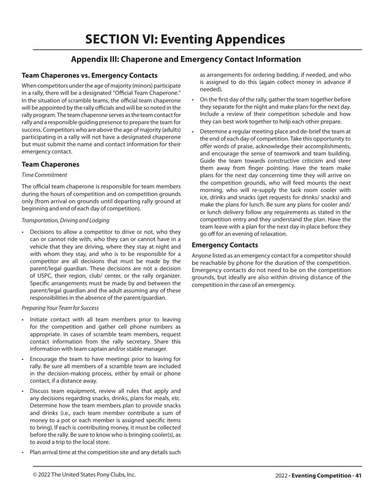#### **Appendix III: Chaperone and Emergency Contact Information**

#### **Team Chaperones vs. Emergency Contacts**

When competitors under the age of majority (minors) participate in a rally, there will be a designated "Official Team Chaperone." In the situation of scramble teams, the official team chaperone will be appointed by the rally officials and will be so noted in the rally program. The team chaperone serves as the team contact for rally and a responsible guiding presence to prepare the team for success. Competitors who are above the age of majority (adults) participating in a rally will not have a designated chaperone but must submit the name and contact information for their emergency contact.

#### **Team Chaperones**

#### *Time Commitment*

The official team chaperone is responsible for team members during the hours of competition and on competition grounds only (from arrival on grounds until departing rally ground at beginning and end of each day of competition).

#### *Transportation, Driving and Lodging*

• Decisions to allow a competitor to drive or not, who they can or cannot ride with, who they can or cannot have in a vehicle that they are driving, where they stay at night and with whom they stay, and who is to be responsible for a competitor are all decisions that must be made by the parent/legal guardian. These decisions are not a decision of USPC, their region, club/ center, or the rally organizer. Specific arrangements must be made by and between the parent/legal guardian and the adult assuming any of these responsibilities in the absence of the parent/guardian.

#### *Preparing Your Team for Success*

- Initiate contact with all team members prior to leaving for the competition and gather cell phone numbers as appropriate. In cases of scramble team members, request contact information from the rally secretary. Share this information with team captain and/or stable manager.
- Encourage the team to have meetings prior to leaving for rally. Be sure all members of a scramble team are included in the decision-making process, either by email or phone contact, if a distance away.
- Discuss team equipment, review all rules that apply and any decisions regarding snacks, drinks, plans for meals, etc. Determine how the team members plan to provide snacks and drinks (i.e., each team member contribute a sum of money to a pot or each member is assigned specific items to bring). If each is contributing money, it must be collected before the rally. Be sure to know who is bringing cooler(s), as to avoid a trip to the local store.
- Plan arrival time at the competition site and any details such

as arrangements for ordering bedding, if needed, and who is assigned to do this (again collect money in advance if needed).

- On the first day of the rally, gather the team together before they separate for the night and make plans for the next day. Include a review of their competition schedule and how they can best work together to help each other prepare.
- Determine a regular meeting place and de-brief the team at the end of each day of competition. Take this opportunity to offer words of praise, acknowledge their accomplishments, and encourage the sense of teamwork and team building. Guide the team towards constructive criticism and steer them away from finger pointing. Have the team make plans for the next day concerning time they will arrive on the competition grounds, who will feed mounts the next morning, who will re-supply the tack room cooler with ice, drinks and snacks (get requests for drinks/ snacks) and make the plans for lunch. Be sure any plans for cooler and/ or lunch delivery follow any requirements as stated in the competition entry and they understand the plan. Have the team leave with a plan for the next day in place before they go off for an evening of relaxation.

#### **Emergency Contacts**

Anyone listed as an emergency contact for a competitor should be reachable by phone for the duration of the competition. Emergency contacts do not need to be on the competition grounds, but ideally are also within driving distance of the competition in the case of an emergency.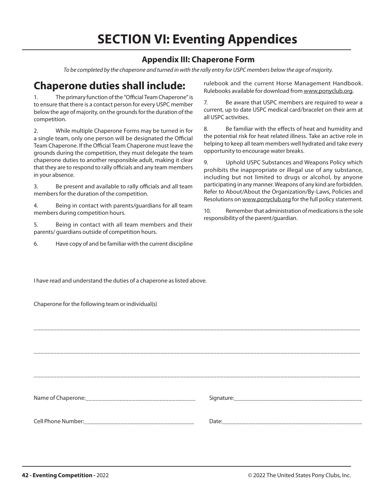### **SECTION VI: Eventing Appendices**

#### **Appendix III: Chaperone Form**

*To be completed by the chaperone and turned in with the rally entry for USPC members below the age of majority.*

#### **Chaperone duties shall include:**

1. The primary function of the "Official Team Chaperone" is to ensure that there is a contact person for every USPC member below the age of majority, on the grounds for the duration of the competition.

2. While multiple Chaperone Forms may be turned in for a single team, only one person will be designated the Official Team Chaperone. If the Official Team Chaperone must leave the grounds during the competition, they must delegate the team chaperone duties to another responsible adult, making it clear that they are to respond to rally officials and any team members in your absence.

3. Be present and available to rally officials and all team members for the duration of the competition.

4. Being in contact with parents/guardians for all team members during competition hours.

5. Being in contact with all team members and their parents/ guardians outside of competition hours.

6. Have copy of and be familiar with the current discipline

rulebook and the current Horse Management Handbook. Rulebooks available for download from www.ponyclub.org.

7. Be aware that USPC members are required to wear a current, up to date USPC medical card/bracelet on their arm at all USPC activities.

8. Be familiar with the effects of heat and humidity and the potential risk for heat related illness. Take an active role in helping to keep all team members well hydrated and take every opportunity to encourage water breaks.

9. Uphold USPC Substances and Weapons Policy which prohibits the inappropriate or illegal use of any substance, including but not limited to drugs or alcohol, by anyone participating in any manner. Weapons of any kind are forbidden. Refer to About/About the Organization/By-Laws, Policies and Resolutions on www.ponyclub.org for the full policy statement.

10. Remember that administration of medications is the sole responsibility of the parent/guardian.

I have read and understand the duties of a chaperone as listed above.

Chaperone for the following team or individual(s)

| Name of Chaperone: | Signature: |
|--------------------|------------|
|                    |            |
| Cell Phone Number: | Date:      |

\_\_\_\_\_\_\_\_\_\_\_\_\_\_\_\_\_\_\_\_\_\_\_\_\_\_\_\_\_\_\_\_\_\_\_\_\_\_\_\_\_\_\_\_\_\_\_\_\_\_\_\_\_\_\_\_\_\_\_\_\_\_\_\_\_\_\_\_\_\_\_\_\_\_\_\_\_\_\_\_\_\_\_\_\_\_\_\_\_\_\_\_\_\_\_\_\_\_

\_\_\_\_\_\_\_\_\_\_\_\_\_\_\_\_\_\_\_\_\_\_\_\_\_\_\_\_\_\_\_\_\_\_\_\_\_\_\_\_\_\_\_\_\_\_\_\_\_\_\_\_\_\_\_\_\_\_\_\_\_\_\_\_\_\_\_\_\_\_\_\_\_\_\_\_\_\_\_\_\_\_\_\_\_\_\_\_\_\_\_\_\_\_\_\_\_\_

\_\_\_\_\_\_\_\_\_\_\_\_\_\_\_\_\_\_\_\_\_\_\_\_\_\_\_\_\_\_\_\_\_\_\_\_\_\_\_\_\_\_\_\_\_\_\_\_\_\_\_\_\_\_\_\_\_\_\_\_\_\_\_\_\_\_\_\_\_\_\_\_\_\_\_\_\_\_\_\_\_\_\_\_\_\_\_\_\_\_\_\_\_\_\_\_\_\_